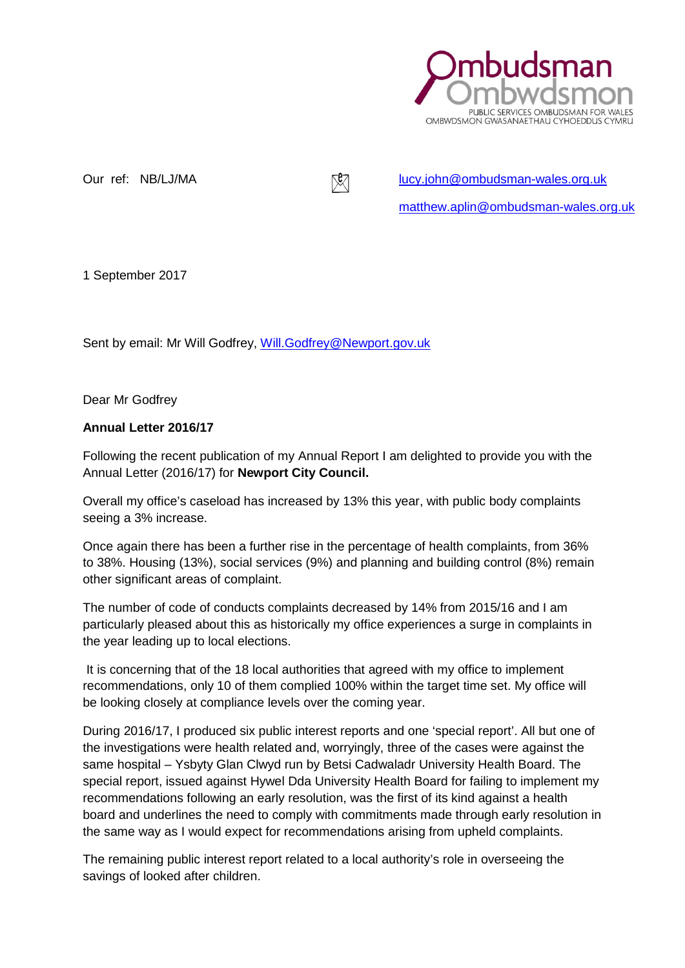

Our ref: NB/LJ/MA [lucy.john@ombudsman-wales.org.uk](mailto:lucy.john@ombudsman-wales.org.uk) [matthew.aplin@ombudsman-wales.org.uk](mailto:matthew.aplin@ombudsman-wales.org.uk)

1 September 2017

Sent by email: Mr Will Godfrey, [Will.Godfrey@Newport.gov.uk](http://workpro/administration/administration.aspx)

Dear Mr Godfrey

#### **Annual Letter 2016/17**

Following the recent publication of my Annual Report I am delighted to provide you with the Annual Letter (2016/17) for **Newport City Council.**

Overall my office's caseload has increased by 13% this year, with public body complaints seeing a 3% increase.

Once again there has been a further rise in the percentage of health complaints, from 36% to 38%. Housing (13%), social services (9%) and planning and building control (8%) remain other significant areas of complaint.

The number of code of conducts complaints decreased by 14% from 2015/16 and I am particularly pleased about this as historically my office experiences a surge in complaints in the year leading up to local elections.

It is concerning that of the 18 local authorities that agreed with my office to implement recommendations, only 10 of them complied 100% within the target time set. My office will be looking closely at compliance levels over the coming year.

During 2016/17, I produced six public interest reports and one 'special report'. All but one of the investigations were health related and, worryingly, three of the cases were against the same hospital – Ysbyty Glan Clwyd run by Betsi Cadwaladr University Health Board. The special report, issued against Hywel Dda University Health Board for failing to implement my recommendations following an early resolution, was the first of its kind against a health board and underlines the need to comply with commitments made through early resolution in the same way as I would expect for recommendations arising from upheld complaints.

The remaining public interest report related to a local authority's role in overseeing the savings of looked after children.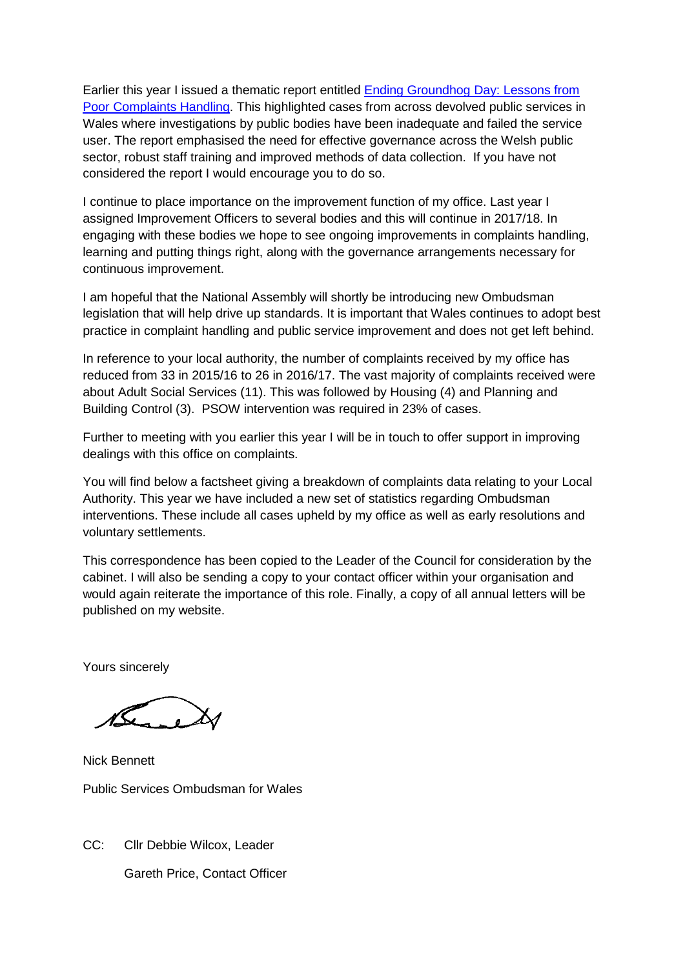Earlier this year I issued a thematic report entitled [Ending Groundhog Day: Lessons from](http://www.ombudsman-wales.org.uk/%7E/media/Files/Thematic%20Reports/22624%20Thematic%20report_GroundhogDay_ENGLISH_Final%20FOR%20ISSUE.ashx)  [Poor Complaints Handling.](http://www.ombudsman-wales.org.uk/%7E/media/Files/Thematic%20Reports/22624%20Thematic%20report_GroundhogDay_ENGLISH_Final%20FOR%20ISSUE.ashx) This highlighted cases from across devolved public services in Wales where investigations by public bodies have been inadequate and failed the service user. The report emphasised the need for effective governance across the Welsh public sector, robust staff training and improved methods of data collection. If you have not considered the report I would encourage you to do so.

I continue to place importance on the improvement function of my office. Last year I assigned Improvement Officers to several bodies and this will continue in 2017/18. In engaging with these bodies we hope to see ongoing improvements in complaints handling, learning and putting things right, along with the governance arrangements necessary for continuous improvement.

I am hopeful that the National Assembly will shortly be introducing new Ombudsman legislation that will help drive up standards. It is important that Wales continues to adopt best practice in complaint handling and public service improvement and does not get left behind.

In reference to your local authority, the number of complaints received by my office has reduced from 33 in 2015/16 to 26 in 2016/17. The vast majority of complaints received were about Adult Social Services (11). This was followed by Housing (4) and Planning and Building Control (3). PSOW intervention was required in 23% of cases.

Further to meeting with you earlier this year I will be in touch to offer support in improving dealings with this office on complaints.

You will find below a factsheet giving a breakdown of complaints data relating to your Local Authority. This year we have included a new set of statistics regarding Ombudsman interventions. These include all cases upheld by my office as well as early resolutions and voluntary settlements.

This correspondence has been copied to the Leader of the Council for consideration by the cabinet. I will also be sending a copy to your contact officer within your organisation and would again reiterate the importance of this role. Finally, a copy of all annual letters will be published on my website.

Yours sincerely

 $\overline{\mathcal{L}}$ 

Nick Bennett Public Services Ombudsman for Wales

CC: Cllr Debbie Wilcox, Leader Gareth Price, Contact Officer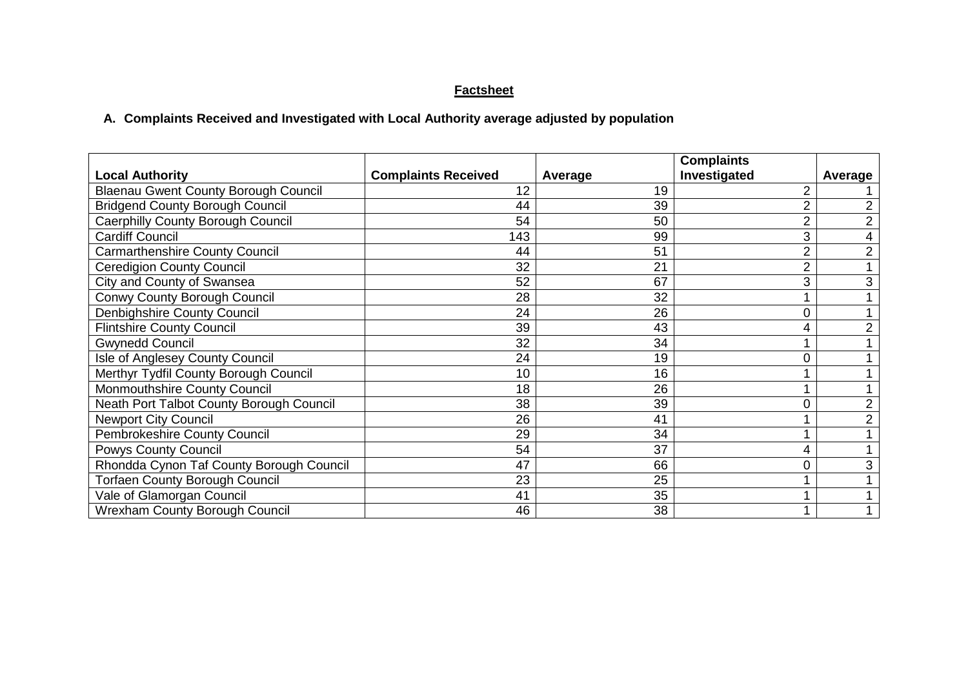# **Factsheet**

# **A. Complaints Received and Investigated with Local Authority average adjusted by population**

|                                             |                            |         | <b>Complaints</b> |                |
|---------------------------------------------|----------------------------|---------|-------------------|----------------|
| <b>Local Authority</b>                      | <b>Complaints Received</b> | Average | Investigated      | <b>Average</b> |
| <b>Blaenau Gwent County Borough Council</b> | 12                         | 19      |                   |                |
| <b>Bridgend County Borough Council</b>      | 44                         | 39      |                   | $\overline{2}$ |
| Caerphilly County Borough Council           | 54                         | 50      | $\overline{2}$    | $\overline{2}$ |
| <b>Cardiff Council</b>                      | 143                        | 99      | 3                 | 4              |
| <b>Carmarthenshire County Council</b>       | 44                         | 51      | $\overline{2}$    | 2              |
| <b>Ceredigion County Council</b>            | 32                         | 21      | 2                 |                |
| City and County of Swansea                  | 52                         | 67      | 3                 | 3              |
| Conwy County Borough Council                | 28                         | 32      |                   |                |
| Denbighshire County Council                 | 24                         | 26      | $\overline{0}$    |                |
| <b>Flintshire County Council</b>            | 39                         | 43      | 4                 | 2              |
| <b>Gwynedd Council</b>                      | 32                         | 34      |                   |                |
| Isle of Anglesey County Council             | 24                         | 19      | 0                 |                |
| Merthyr Tydfil County Borough Council       | 10                         | 16      |                   |                |
| Monmouthshire County Council                | 18                         | 26      |                   |                |
| Neath Port Talbot County Borough Council    | 38                         | 39      |                   | 2              |
| <b>Newport City Council</b>                 | 26                         | 41      |                   | 2              |
| Pembrokeshire County Council                | 29                         | 34      |                   |                |
| <b>Powys County Council</b>                 | 54                         | 37      | 4                 |                |
| Rhondda Cynon Taf County Borough Council    | 47                         | 66      |                   |                |
| <b>Torfaen County Borough Council</b>       | 23                         | 25      |                   |                |
| Vale of Glamorgan Council                   | 41                         | 35      |                   |                |
| <b>Wrexham County Borough Council</b>       | 46                         | 38      |                   |                |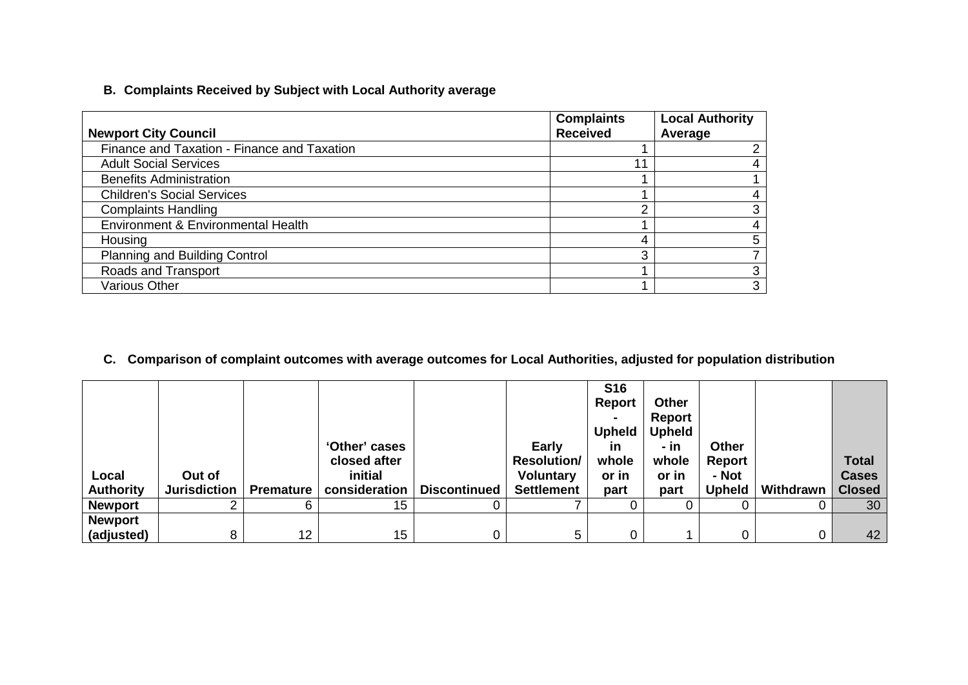# **B. Complaints Received by Subject with Local Authority average**

| <b>Newport City Council</b>                 | <b>Complaints</b><br><b>Received</b> | <b>Local Authority</b><br>Average |
|---------------------------------------------|--------------------------------------|-----------------------------------|
| Finance and Taxation - Finance and Taxation |                                      |                                   |
| <b>Adult Social Services</b>                | 44                                   |                                   |
| <b>Benefits Administration</b>              |                                      |                                   |
| <b>Children's Social Services</b>           |                                      |                                   |
| <b>Complaints Handling</b>                  | ⌒                                    |                                   |
| Environment & Environmental Health          |                                      |                                   |
| Housing                                     | д                                    | 5                                 |
| <b>Planning and Building Control</b>        | ⌒                                    |                                   |
| Roads and Transport                         |                                      |                                   |
| <b>Various Other</b>                        |                                      | 3                                 |

# **C. Comparison of complaint outcomes with average outcomes for Local Authorities, adjusted for population distribution**

| Local<br><b>Authority</b> | Out of<br><b>Jurisdiction</b> | <b>Premature</b> | 'Other' cases<br>closed after<br>initial<br>consideration | <b>Discontinued</b> | <b>Early</b><br><b>Resolution/</b><br><b>Voluntary</b><br><b>Settlement</b> | <b>S16</b><br><b>Report</b><br>$\blacksquare$<br><b>Upheld</b><br><u>in</u><br>whole<br>or in<br>part | <b>Other</b><br>Report<br><b>Upheld</b><br>- in<br>whole<br>or in<br>part | <b>Other</b><br>Report<br>- Not<br><b>Upheld</b> | Withdrawn | <b>Total</b><br><b>Cases</b><br><b>Closed</b> |
|---------------------------|-------------------------------|------------------|-----------------------------------------------------------|---------------------|-----------------------------------------------------------------------------|-------------------------------------------------------------------------------------------------------|---------------------------------------------------------------------------|--------------------------------------------------|-----------|-----------------------------------------------|
| <b>Newport</b>            |                               |                  | 15                                                        |                     |                                                                             |                                                                                                       |                                                                           |                                                  |           | 30                                            |
| <b>Newport</b>            |                               |                  |                                                           |                     |                                                                             |                                                                                                       |                                                                           |                                                  |           |                                               |
| (adjusted)                | 8.                            | 12 <sup>2</sup>  | 15                                                        |                     | 5.                                                                          | 0                                                                                                     |                                                                           |                                                  |           | 42                                            |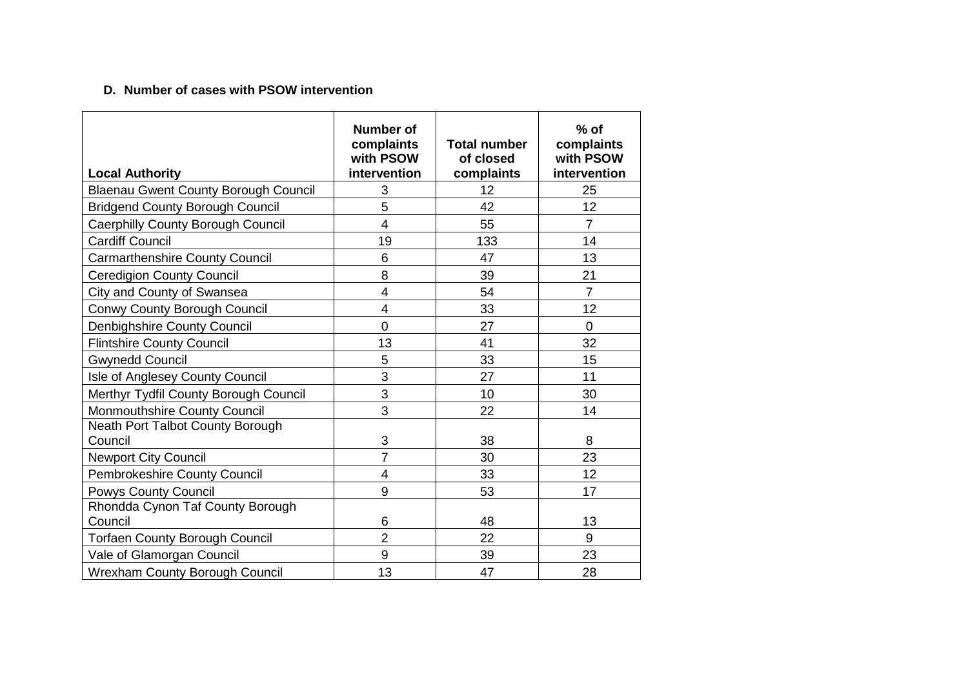# **D. Number of cases with PSOW intervention**

| <b>Local Authority</b>                      | <b>Number of</b><br>complaints<br>with PSOW<br>intervention | <b>Total number</b><br>of closed<br>complaints | $%$ of<br>complaints<br>with PSOW<br>intervention |
|---------------------------------------------|-------------------------------------------------------------|------------------------------------------------|---------------------------------------------------|
| <b>Blaenau Gwent County Borough Council</b> | 3                                                           | 12                                             | 25                                                |
| <b>Bridgend County Borough Council</b>      | 5                                                           | 42                                             | 12                                                |
| Caerphilly County Borough Council           | $\overline{4}$                                              | 55                                             | $\overline{7}$                                    |
| <b>Cardiff Council</b>                      | 19                                                          | 133                                            | 14                                                |
| <b>Carmarthenshire County Council</b>       | 6                                                           | 47                                             | 13                                                |
| <b>Ceredigion County Council</b>            | 8                                                           | 39                                             | 21                                                |
| City and County of Swansea                  | $\overline{4}$                                              | 54                                             | $\overline{7}$                                    |
| Conwy County Borough Council                | $\overline{4}$                                              | 33                                             | 12                                                |
| Denbighshire County Council                 | $\overline{0}$                                              | 27                                             | $\overline{0}$                                    |
| <b>Flintshire County Council</b>            | 13                                                          | 41                                             | 32                                                |
| <b>Gwynedd Council</b>                      | 5                                                           | 33                                             | 15                                                |
| Isle of Anglesey County Council             | 3                                                           | 27                                             | 11                                                |
| Merthyr Tydfil County Borough Council       | 3                                                           | 10                                             | 30                                                |
| Monmouthshire County Council                | 3                                                           | 22                                             | 14                                                |
| Neath Port Talbot County Borough<br>Council | 3                                                           | 38                                             | 8                                                 |
| <b>Newport City Council</b>                 | $\overline{7}$                                              | 30                                             | 23                                                |
| Pembrokeshire County Council                | 4                                                           | 33                                             | 12                                                |
| <b>Powys County Council</b>                 | 9                                                           | 53                                             | 17                                                |
| Rhondda Cynon Taf County Borough<br>Council | 6                                                           | 48                                             | 13                                                |
| <b>Torfaen County Borough Council</b>       | $\overline{2}$                                              | 22                                             | 9                                                 |
| Vale of Glamorgan Council                   | 9                                                           | 39                                             | 23                                                |
| <b>Wrexham County Borough Council</b>       | 13                                                          | 47                                             | 28                                                |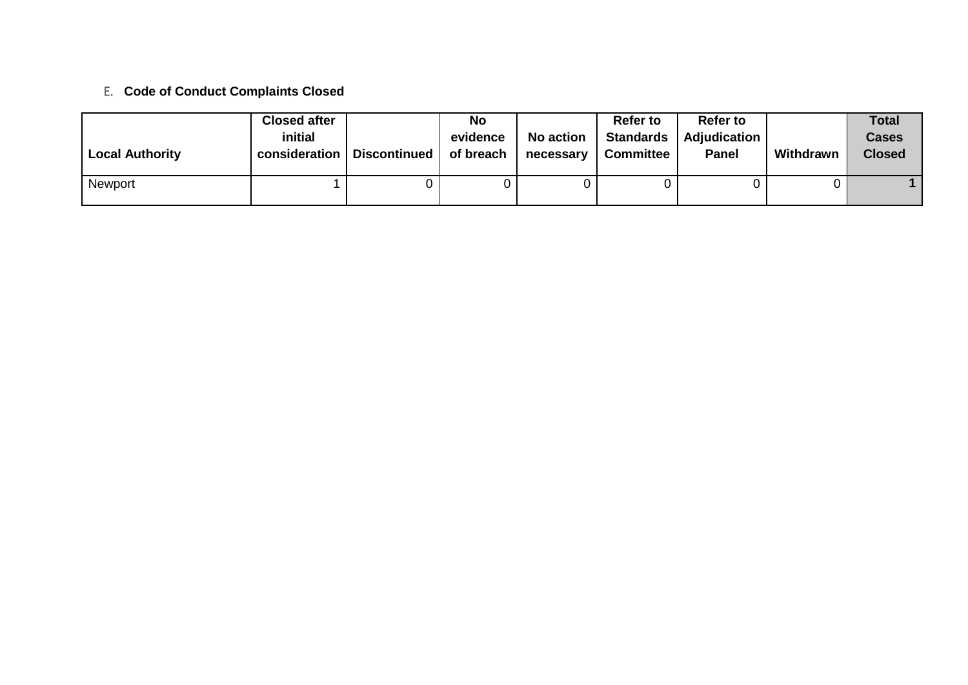# E. **Code of Conduct Complaints Closed**

| <b>Local Authority</b> | <b>Closed after</b><br>initial<br>consideration | <b>Discontinued</b> | No<br>evidence<br>of breach | <b>No action</b><br>necessary | <b>Refer to</b><br><b>Standards</b><br><b>Committee</b> | <b>Refer to</b><br><b>Adjudication</b><br><b>Panel</b> | Withdrawn | <b>Total</b><br><b>Cases</b><br><b>Closed</b> |
|------------------------|-------------------------------------------------|---------------------|-----------------------------|-------------------------------|---------------------------------------------------------|--------------------------------------------------------|-----------|-----------------------------------------------|
| Newport                |                                                 |                     |                             |                               |                                                         |                                                        |           |                                               |